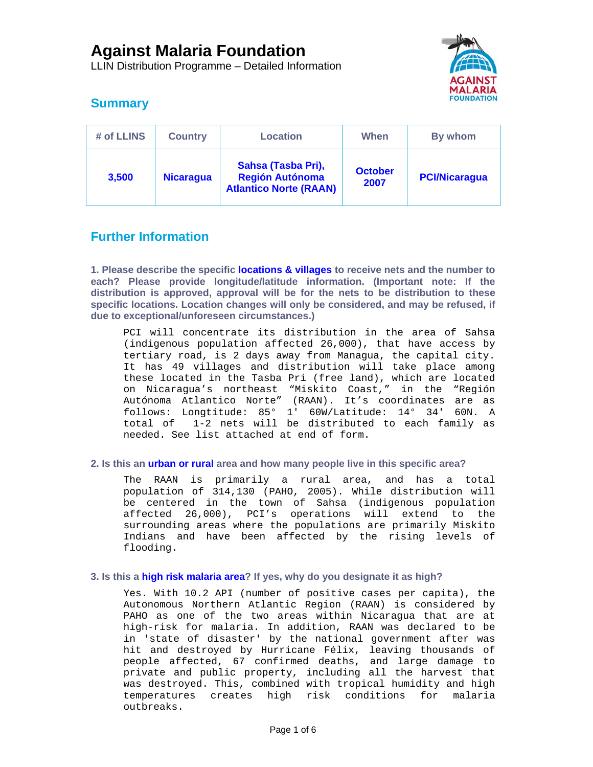LLIN Distribution Programme – Detailed Information



## **Summary**

| # of LLINS | <b>Country</b>   | <b>Location</b>                                                               | When                   | By whom              |
|------------|------------------|-------------------------------------------------------------------------------|------------------------|----------------------|
| 3,500      | <b>Nicaragua</b> | Sahsa (Tasba Pri),<br><b>Región Autónoma</b><br><b>Atlantico Norte (RAAN)</b> | <b>October</b><br>2007 | <b>PCI/Nicaragua</b> |

## **Further Information**

**1. Please describe the specific locations & villages to receive nets and the number to each? Please provide longitude/latitude information. (Important note: If the distribution is approved, approval will be for the nets to be distribution to these specific locations. Location changes will only be considered, and may be refused, if due to exceptional/unforeseen circumstances.)** 

PCI will concentrate its distribution in the area of Sahsa (indigenous population affected 26,000), that have access by tertiary road, is 2 days away from Managua, the capital city. It has 49 villages and distribution will take place among these located in the Tasba Pri (free land), which are located on Nicaragua's northeast "Miskito Coast," in the "Región Autónoma Atlantico Norte" (RAAN). It's coordinates are as follows: Longtitude: 85° 1' 60W/Latitude: 14° 34' 60N. A total of 1-2 nets will be distributed to each family as needed. See list attached at end of form.

### **2. Is this an urban or rural area and how many people live in this specific area?**

The RAAN is primarily a rural area, and has a total population of 314,130 (PAHO, 2005). While distribution will be centered in the town of Sahsa (indigenous population affected 26,000), PCI's operations will extend to the surrounding areas where the populations are primarily Miskito Indians and have been affected by the rising levels of flooding.

#### **3. Is this a high risk malaria area? If yes, why do you designate it as high?**

Yes. With 10.2 API (number of positive cases per capita), the Autonomous Northern Atlantic Region (RAAN) is considered by PAHO as one of the two areas within Nicaragua that are at high-risk for malaria. In addition, RAAN was declared to be in 'state of disaster' by the national government after was hit and destroyed by Hurricane Félix, leaving thousands of people affected, 67 confirmed deaths, and large damage to private and public property, including all the harvest that was destroyed. This, combined with tropical humidity and high temperatures creates high risk conditions for malaria outbreaks.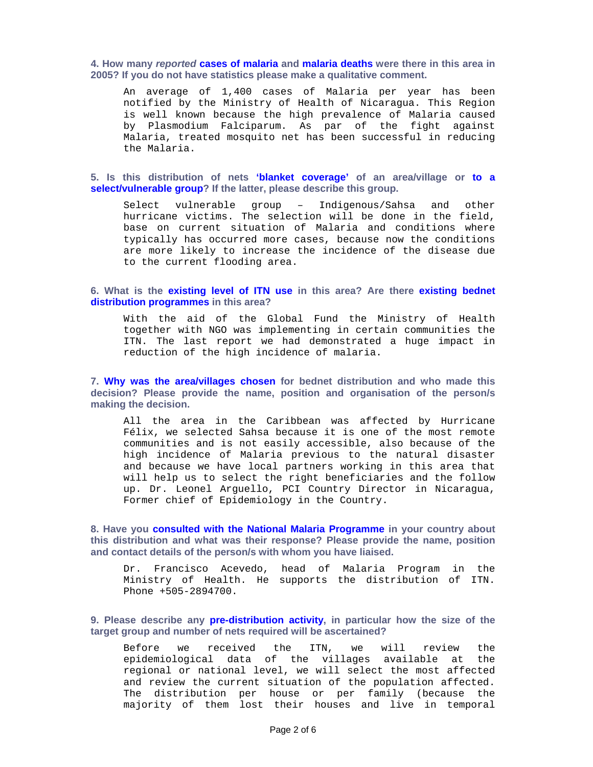**4. How many** *reported* **cases of malaria and malaria deaths were there in this area in 2005? If you do not have statistics please make a qualitative comment.** 

An average of 1,400 cases of Malaria per year has been notified by the Ministry of Health of Nicaragua. This Region is well known because the high prevalence of Malaria caused by Plasmodium Falciparum. As par of the fight against Malaria, treated mosquito net has been successful in reducing the Malaria.

**5. Is this distribution of nets 'blanket coverage' of an area/village or to a select/vulnerable group? If the latter, please describe this group.** 

Select vulnerable group – Indigenous/Sahsa and other hurricane victims. The selection will be done in the field, base on current situation of Malaria and conditions where typically has occurred more cases, because now the conditions are more likely to increase the incidence of the disease due to the current flooding area.

#### **6. What is the existing level of ITN use in this area? Are there existing bednet distribution programmes in this area?**

With the aid of the Global Fund the Ministry of Health together with NGO was implementing in certain communities the ITN. The last report we had demonstrated a huge impact in reduction of the high incidence of malaria.

**7. Why was the area/villages chosen for bednet distribution and who made this decision? Please provide the name, position and organisation of the person/s making the decision.** 

All the area in the Caribbean was affected by Hurricane Félix, we selected Sahsa because it is one of the most remote communities and is not easily accessible, also because of the high incidence of Malaria previous to the natural disaster and because we have local partners working in this area that will help us to select the right beneficiaries and the follow up. Dr. Leonel Arguello, PCI Country Director in Nicaragua, Former chief of Epidemiology in the Country.

**8. Have you consulted with the National Malaria Programme in your country about this distribution and what was their response? Please provide the name, position and contact details of the person/s with whom you have liaised.** 

Dr. Francisco Acevedo, head of Malaria Program in the Ministry of Health. He supports the distribution of ITN. Phone +505-2894700.

**9. Please describe any pre-distribution activity, in particular how the size of the target group and number of nets required will be ascertained?** 

Before we received the ITN, we will review the epidemiological data of the villages available at the regional or national level, we will select the most affected and review the current situation of the population affected. The distribution per house or per family (because the majority of them lost their houses and live in temporal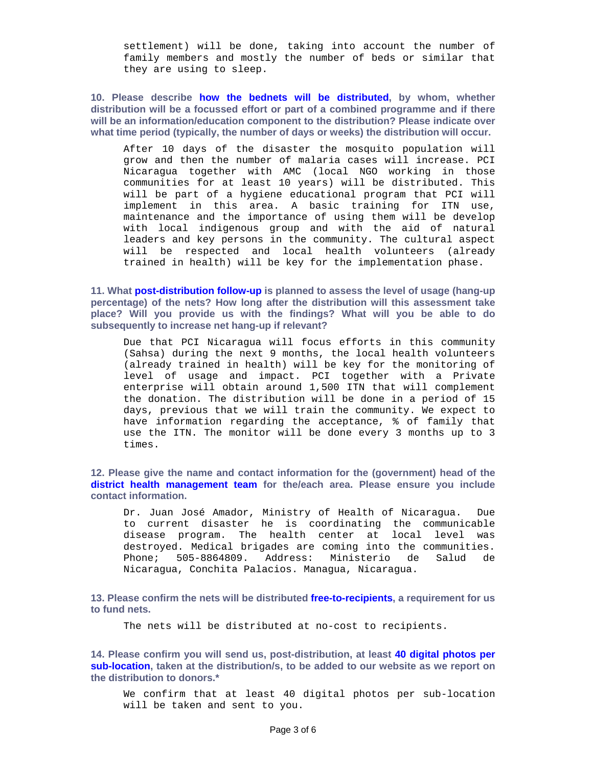settlement) will be done, taking into account the number of family members and mostly the number of beds or similar that they are using to sleep.

**10. Please describe how the bednets will be distributed, by whom, whether distribution will be a focussed effort or part of a combined programme and if there will be an information/education component to the distribution? Please indicate over what time period (typically, the number of days or weeks) the distribution will occur.** 

After 10 days of the disaster the mosquito population will grow and then the number of malaria cases will increase. PCI Nicaragua together with AMC (local NGO working in those communities for at least 10 years) will be distributed. This will be part of a hygiene educational program that PCI will implement in this area. A basic training for ITN use, maintenance and the importance of using them will be develop with local indigenous group and with the aid of natural leaders and key persons in the community. The cultural aspect will be respected and local health volunteers (already trained in health) will be key for the implementation phase.

**11. What post-distribution follow-up is planned to assess the level of usage (hang-up percentage) of the nets? How long after the distribution will this assessment take place? Will you provide us with the findings? What will you be able to do subsequently to increase net hang-up if relevant?** 

Due that PCI Nicaragua will focus efforts in this community (Sahsa) during the next 9 months, the local health volunteers (already trained in health) will be key for the monitoring of level of usage and impact. PCI together with a Private enterprise will obtain around 1,500 ITN that will complement the donation. The distribution will be done in a period of 15 days, previous that we will train the community. We expect to have information regarding the acceptance, % of family that use the ITN. The monitor will be done every 3 months up to 3 times.

**12. Please give the name and contact information for the (government) head of the district health management team for the/each area. Please ensure you include contact information.** 

Dr. Juan José Amador, Ministry of Health of Nicaragua. Due to current disaster he is coordinating the communicable disease program. The health center at local level was destroyed. Medical brigades are coming into the communities. Phone; 505-8864809. Address: Ministerio de Salud de Nicaragua, Conchita Palacios. Managua, Nicaragua.

**13. Please confirm the nets will be distributed free-to-recipients, a requirement for us to fund nets.** 

The nets will be distributed at no-cost to recipients.

**14. Please confirm you will send us, post-distribution, at least 40 digital photos per sub-location, taken at the distribution/s, to be added to our website as we report on the distribution to donors.\*** 

We confirm that at least 40 digital photos per sub-location will be taken and sent to you.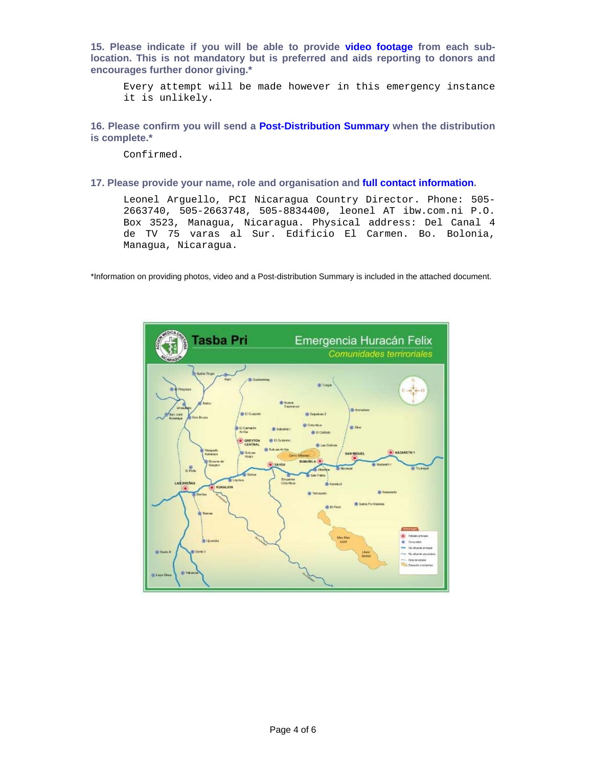**15. Please indicate if you will be able to provide video footage from each sublocation. This is not mandatory but is preferred and aids reporting to donors and encourages further donor giving.\*** 

Every attempt will be made however in this emergency instance it is unlikely.

**16. Please confirm you will send a Post-Distribution Summary when the distribution is complete.\*** 

Confirmed.

#### **17. Please provide your name, role and organisation and full contact information.**

Leonel Arguello, PCI Nicaragua Country Director. Phone: 505- 2663740, 505-2663748, 505-8834400, leonel AT ibw.com.ni P.O. Box 3523, Managua, Nicaragua. Physical address: Del Canal 4 de TV 75 varas al Sur. Edificio El Carmen. Bo. Bolonia, Managua, Nicaragua.

\*Information on providing photos, video and a Post-distribution Summary is included in the attached document.

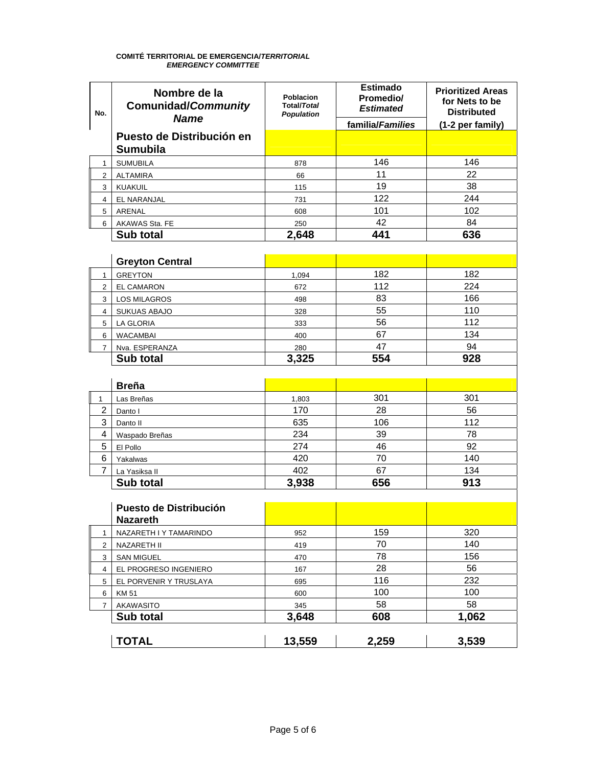# **COMITÉ TERRITORIAL DE EMERGENCIA/***TERRITORIAL EMERGENCY COMMITTEE*

| No.            | Nombre de la<br><b>Comunidad/Community</b>   | Poblacion<br><b>Total/Total</b><br><b>Population</b> | <b>Estimado</b><br><b>Promedio/</b><br><b>Estimated</b> | <b>Prioritized Areas</b><br>for Nets to be<br><b>Distributed</b> |
|----------------|----------------------------------------------|------------------------------------------------------|---------------------------------------------------------|------------------------------------------------------------------|
|                | <b>Name</b>                                  |                                                      | familia/Families                                        | (1-2 per family)                                                 |
|                | Puesto de Distribución en<br><b>Sumubila</b> |                                                      |                                                         |                                                                  |
| $\mathbf{1}$   | <b>SUMUBILA</b>                              | 878                                                  | 146                                                     | 146                                                              |
| $\overline{2}$ | <b>ALTAMIRA</b>                              | 66                                                   | 11                                                      | 22                                                               |
| 3              | KUAKUIL                                      | 115                                                  | 19                                                      | 38                                                               |
| $\overline{4}$ | EL NARANJAL                                  | 731                                                  | 122                                                     | 244                                                              |
| 5              | ARENAL                                       | 608                                                  | 101                                                     | 102                                                              |
| 6              | AKAWAS Sta. FE                               | 250                                                  | 42                                                      | 84                                                               |
|                | Sub total                                    | 2,648                                                | 441                                                     | 636                                                              |
|                |                                              |                                                      |                                                         |                                                                  |
|                | <b>Greyton Central</b>                       |                                                      |                                                         |                                                                  |
| $\mathbf{1}$   | <b>GREYTON</b>                               | 1,094                                                | 182                                                     | 182                                                              |
| $\overline{2}$ | <b>EL CAMARON</b>                            | 672                                                  | 112                                                     | 224                                                              |
| 3              | <b>LOS MILAGROS</b>                          | 498                                                  | 83                                                      | 166                                                              |
| 4              | SUKUAS ABAJO                                 | 328                                                  | 55                                                      | 110                                                              |
| 5              | LA GLORIA                                    | 333                                                  | 56                                                      | 112                                                              |
| 6              | <b>WACAMBAI</b>                              | 400                                                  | 67                                                      | 134                                                              |
| $\overline{7}$ | Nva. ESPERANZA                               | 280                                                  | 47                                                      | 94                                                               |
|                | Sub total                                    | 3,325                                                | 554                                                     | 928                                                              |
|                |                                              |                                                      |                                                         |                                                                  |
|                | <b>Breña</b>                                 |                                                      |                                                         |                                                                  |
| $\mathbf{1}$   | Las Breñas                                   | 1,803                                                | 301                                                     | 301                                                              |
| $\overline{c}$ | Danto I                                      | 170                                                  | 28                                                      | 56                                                               |
| 3              | Danto II                                     | 635                                                  | 106                                                     | 112                                                              |
| 4              | Waspado Breñas                               | 234                                                  | 39                                                      | 78                                                               |
| 5              | El Pollo                                     | 274                                                  | 46                                                      | 92                                                               |
| 6              | Yakalwas                                     | 420                                                  | 70                                                      | 140                                                              |
| $\overline{7}$ | La Yasiksa II                                | 402                                                  | 67                                                      | 134                                                              |
|                | Sub total                                    | 3,938                                                | 656                                                     | 913                                                              |
|                |                                              |                                                      |                                                         |                                                                  |
|                | Puesto de Distribución<br><b>Nazareth</b>    |                                                      |                                                         |                                                                  |
| $\mathbf{1}$   | NAZARETH I Y TAMARINDO                       | 952                                                  | 159                                                     | 320                                                              |
| $\overline{2}$ | NAZARETH II                                  | 419                                                  | 70                                                      | 140                                                              |
| 3              | <b>SAN MIGUEL</b>                            | 470                                                  | 78                                                      | 156                                                              |
| 4              | EL PROGRESO INGENIERO                        | 167                                                  | 28                                                      | 56                                                               |
| 5              | EL PORVENIR Y TRUSLAYA                       | 695                                                  | 116                                                     | 232                                                              |
| 6              | KM 51                                        | 600                                                  | 100                                                     | 100                                                              |
| $\overline{7}$ | AKAWASITO                                    | 345                                                  | 58                                                      | 58                                                               |
|                | Sub total                                    | 3,648                                                | 608                                                     | 1,062                                                            |
|                |                                              |                                                      |                                                         |                                                                  |
|                | <b>TOTAL</b>                                 | 13,559                                               | 2,259                                                   | 3,539                                                            |